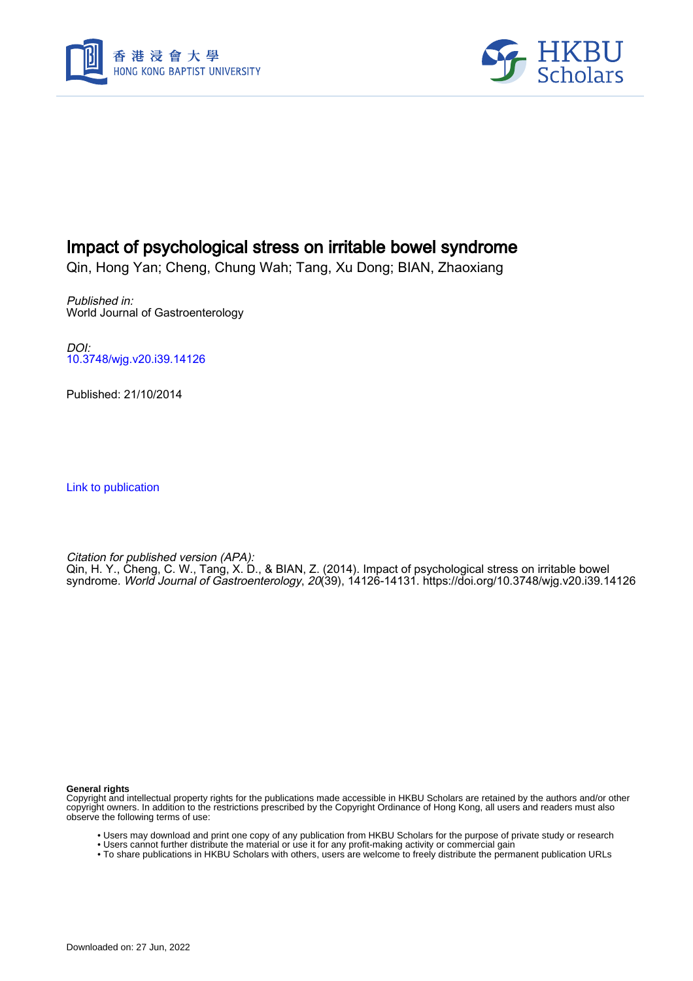



## Impact of psychological stress on irritable bowel syndrome

Qin, Hong Yan; Cheng, Chung Wah; Tang, Xu Dong; BIAN, Zhaoxiang

Published in: World Journal of Gastroenterology

DOI: [10.3748/wjg.v20.i39.14126](https://doi.org/10.3748/wjg.v20.i39.14126)

Published: 21/10/2014

[Link to publication](https://scholars.hkbu.edu.hk/en/publications/16f0723e-dea1-4627-84a9-eb6ad77d5684)

Citation for published version (APA): Qin, H. Y., Cheng, C. W., Tang, X. D., & BIAN, Z. (2014). Impact of psychological stress on irritable bowel syndrome. World Journal of Gastroenterology, 20(39), 14126-14131.<https://doi.org/10.3748/wjg.v20.i39.14126>

**General rights**

Copyright and intellectual property rights for the publications made accessible in HKBU Scholars are retained by the authors and/or other copyright owners. In addition to the restrictions prescribed by the Copyright Ordinance of Hong Kong, all users and readers must also observe the following terms of use:

- Users may download and print one copy of any publication from HKBU Scholars for the purpose of private study or research
- Users cannot further distribute the material or use it for any profit-making activity or commercial gain
- To share publications in HKBU Scholars with others, users are welcome to freely distribute the permanent publication URLs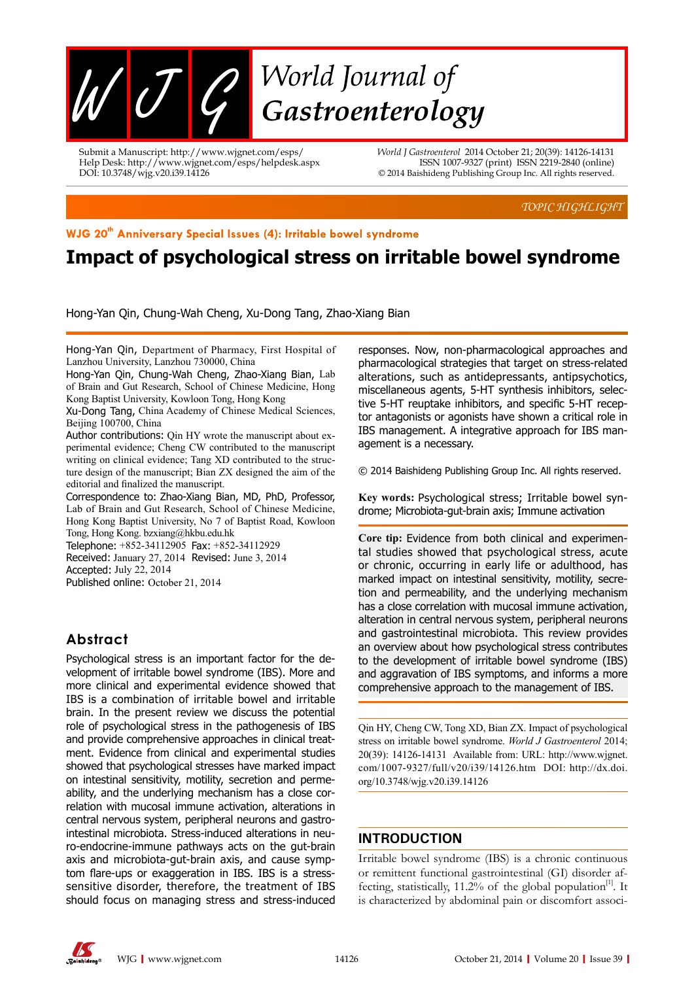

Submit a Manuscript: http://www.wjgnet.com/esps/ Help Desk: http://www.wjgnet.com/esps/helpdesk.aspx DOI: 10.3748/wjg.v20.i39.14126

*World J Gastroenterol* 2014 October 21; 20(39): 14126-14131 ISSN 1007-9327 (print) ISSN 2219-2840 (online) © 2014 Baishideng Publishing Group Inc. All rights reserved.

*TOPIC HIGHLIGHT*

**WJG 20<sup>th</sup> Anniversary Special Issues (4): Irritable bowel syndrome** 

# **Impact of psychological stress on irritable bowel syndrome**

Hong-Yan Qin, Chung-Wah Cheng, Xu-Dong Tang, Zhao-Xiang Bian

Hong-Yan Qin, Department of Pharmacy, First Hospital of Lanzhou University, Lanzhou 730000, China

Hong-Yan Qin, Chung-Wah Cheng, Zhao-Xiang Bian, Lab of Brain and Gut Research, School of Chinese Medicine, Hong Kong Baptist University, Kowloon Tong, Hong Kong

Xu-Dong Tang, China Academy of Chinese Medical Sciences, Beijing 100700, China

Author contributions: Qin HY wrote the manuscript about experimental evidence; Cheng CW contributed to the manuscript writing on clinical evidence; Tang XD contributed to the structure design of the manuscript; Bian ZX designed the aim of the editorial and finalized the manuscript.

Correspondence to: Zhao-Xiang Bian, MD, PhD, Professor, Lab of Brain and Gut Research, School of Chinese Medicine, Hong Kong Baptist University, No 7 of Baptist Road, Kowloon Tong, Hong Kong. bzxiang@hkbu.edu.hk

Telephone: +852-34112905 Fax: +852-34112929 Received: January 27, 2014Revised: June 3, 2014 Accepted: July 22, 2014

Published online: October 21, 2014

### **Abstract**

Psychological stress is an important factor for the development of irritable bowel syndrome (IBS). More and more clinical and experimental evidence showed that IBS is a combination of irritable bowel and irritable brain. In the present review we discuss the potential role of psychological stress in the pathogenesis of IBS and provide comprehensive approaches in clinical treatment. Evidence from clinical and experimental studies showed that psychological stresses have marked impact on intestinal sensitivity, motility, secretion and permeability, and the underlying mechanism has a close correlation with mucosal immune activation, alterations in central nervous system, peripheral neurons and gastrointestinal microbiota. Stress-induced alterations in neuro-endocrine-immune pathways acts on the gut-brain axis and microbiota-gut-brain axis, and cause symptom flare-ups or exaggeration in IBS. IBS is a stresssensitive disorder, therefore, the treatment of IBS should focus on managing stress and stress-induced

responses. Now, non-pharmacological approaches and pharmacological strategies that target on stress-related alterations, such as antidepressants, antipsychotics, miscellaneous agents, 5-HT synthesis inhibitors, selective 5-HT reuptake inhibitors, and specific 5-HT receptor antagonists or agonists have shown a critical role in IBS management. A integrative approach for IBS management is a necessary.

© 2014 Baishideng Publishing Group Inc. All rights reserved.

**Key words:** Psychological stress; Irritable bowel syndrome; Microbiota-gut-brain axis; Immune activation

**Core tip:** Evidence from both clinical and experimental studies showed that psychological stress, acute or chronic, occurring in early life or adulthood, has marked impact on intestinal sensitivity, motility, secretion and permeability, and the underlying mechanism has a close correlation with mucosal immune activation, alteration in central nervous system, peripheral neurons and gastrointestinal microbiota. This review provides an overview about how psychological stress contributes to the development of irritable bowel syndrome (IBS) and aggravation of IBS symptoms, and informs a more comprehensive approach to the management of IBS.

Qin HY, Cheng CW, Tong XD, Bian ZX. Impact of psychological stress on irritable bowel syndrome. *World J Gastroenterol* 2014; 20(39): 14126-14131 Available from: URL: http://www.wjgnet. com/1007-9327/full/v20/i39/14126.htm DOI: http://dx.doi. org/10.3748/wjg.v20.i39.14126

### **INTRODUCTION**

Irritable bowel syndrome (IBS) is a chronic continuous or remittent functional gastrointestinal (GI) disorder affecting, statistically, 11.2% of the global population<sup>[1]</sup>. It is characterized by abdominal pain or discomfort associ-

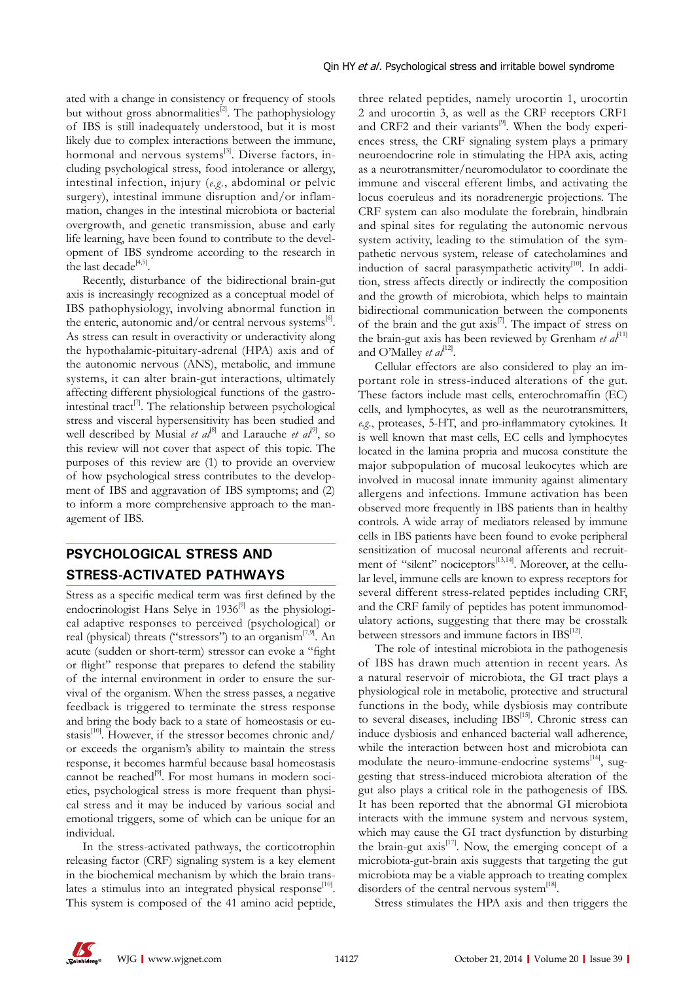ated with a change in consistency or frequency of stools but without gross abnormalities<sup>[2]</sup>. The pathophysiology of IBS is still inadequately understood, but it is most likely due to complex interactions between the immune, hormonal and nervous systems<sup>[3]</sup>. Diverse factors, including psychological stress, food intolerance or allergy, intestinal infection, injury (*e.g.*, abdominal or pelvic surgery), intestinal immune disruption and/or inflammation, changes in the intestinal microbiota or bacterial overgrowth, and genetic transmission, abuse and early life learning, have been found to contribute to the development of IBS syndrome according to the research in the last decade<sup>[4,5]</sup>.

Recently, disturbance of the bidirectional brain-gut axis is increasingly recognized as a conceptual model of IBS pathophysiology, involving abnormal function in the enteric, autonomic and/or central nervous systems $\mathbf{e}^{[0]}$ . As stress can result in overactivity or underactivity along the hypothalamic-pituitary-adrenal (HPA) axis and of the autonomic nervous (ANS), metabolic, and immune systems, it can alter brain-gut interactions, ultimately affecting different physiological functions of the gastrointestinal tract<sup>[7]</sup>. The relationship between psychological stress and visceral hypersensitivity has been studied and well described by Musial *et al*<sup>81</sup> and Larauche *et al*<sup>91</sup>, so this review will not cover that aspect of this topic. The purposes of this review are (1) to provide an overview of how psychological stress contributes to the development of IBS and aggravation of IBS symptoms; and (2) to inform a more comprehensive approach to the management of IBS.

### **Psychological stress and stress-activated pathways**

Stress as a specific medical term was first defined by the endocrinologist Hans Selye in 1936<sup>[9]</sup> as the physiological adaptive responses to perceived (psychological) or real (physical) threats ("stressors") to an organism<sup>[7,9]</sup>. An acute (sudden or short-term) stressor can evoke a "fight or flight" response that prepares to defend the stability of the internal environment in order to ensure the survival of the organism. When the stress passes, a negative feedback is triggered to terminate the stress response and bring the body back to a state of homeostasis or eustasis $^{[10]}$ . However, if the stressor becomes chronic and/ or exceeds the organism's ability to maintain the stress response, it becomes harmful because basal homeostasis cannot be reached<sup>[9]</sup>. For most humans in modern societies, psychological stress is more frequent than physical stress and it may be induced by various social and emotional triggers, some of which can be unique for an individual.

In the stress-activated pathways, the corticotrophin releasing factor (CRF) signaling system is a key element in the biochemical mechanism by which the brain translates a stimulus into an integrated physical response<sup>[10]</sup>. This system is composed of the 41 amino acid peptide, three related peptides, namely urocortin 1, urocortin 2 and urocortin 3, as well as the CRF receptors CRF1 and CRF2 and their variants $^{[9]}$ . When the body experiences stress, the CRF signaling system plays a primary neuroendocrine role in stimulating the HPA axis, acting as a neurotransmitter/neuromodulator to coordinate the immune and visceral efferent limbs, and activating the locus coeruleus and its noradrenergic projections. The CRF system can also modulate the forebrain, hindbrain and spinal sites for regulating the autonomic nervous system activity, leading to the stimulation of the sympathetic nervous system, release of catecholamines and induction of sacral parasympathetic activity<sup>[10]</sup>. In addition, stress affects directly or indirectly the composition and the growth of microbiota, which helps to maintain bidirectional communication between the components of the brain and the gut  $axis^{7}$ . The impact of stress on the brain-gut axis has been reviewed by Grenham  $et al^{[11]}$ and O'Malley *et al*<sup>[12]</sup>.

Cellular effectors are also considered to play an important role in stress-induced alterations of the gut. These factors include mast cells, enterochromaffin (EC) cells, and lymphocytes, as well as the neurotransmitters, *e.g.*, proteases, 5-HT, and pro-inflammatory cytokines. It is well known that mast cells, EC cells and lymphocytes located in the lamina propria and mucosa constitute the major subpopulation of mucosal leukocytes which are involved in mucosal innate immunity against alimentary allergens and infections. Immune activation has been observed more frequently in IBS patients than in healthy controls. A wide array of mediators released by immune cells in IBS patients have been found to evoke peripheral sensitization of mucosal neuronal afferents and recruitment of "silent" nociceptors<sup>[13,14]</sup>. Moreover, at the cellular level, immune cells are known to express receptors for several different stress-related peptides including CRF, and the CRF family of peptides has potent immunomodulatory actions, suggesting that there may be crosstalk between stressors and immune factors in IBS<sup>[12]</sup>.

The role of intestinal microbiota in the pathogenesis of IBS has drawn much attention in recent years. As a natural reservoir of microbiota, the GI tract plays a physiological role in metabolic, protective and structural functions in the body, while dysbiosis may contribute to several diseases, including IBS<sup>[15]</sup>. Chronic stress can induce dysbiosis and enhanced bacterial wall adherence, while the interaction between host and microbiota can modulate the neuro-immune-endocrine systems<sup>[16]</sup>, suggesting that stress-induced microbiota alteration of the gut also plays a critical role in the pathogenesis of IBS. It has been reported that the abnormal GI microbiota interacts with the immune system and nervous system, which may cause the GI tract dysfunction by disturbing the brain-gut axis<sup>[17]</sup>. Now, the emerging concept of a microbiota-gut-brain axis suggests that targeting the gut microbiota may be a viable approach to treating complex disorders of the central nervous system<sup>[18]</sup>.

Stress stimulates the HPA axis and then triggers the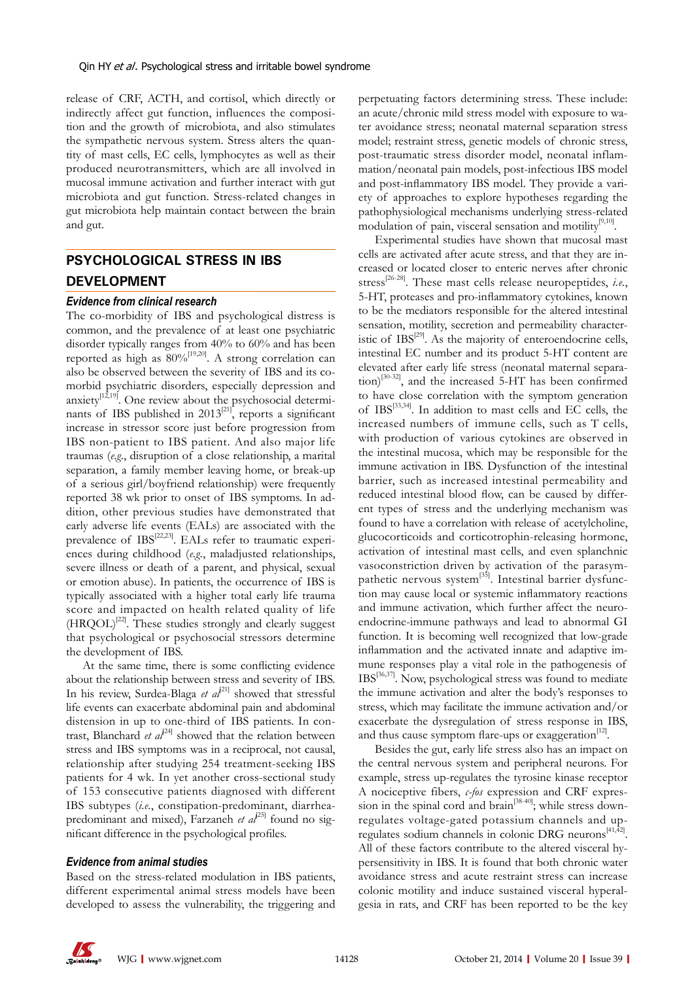release of CRF, ACTH, and cortisol, which directly or indirectly affect gut function, influences the composition and the growth of microbiota, and also stimulates the sympathetic nervous system. Stress alters the quantity of mast cells, EC cells, lymphocytes as well as their produced neurotransmitters, which are all involved in mucosal immune activation and further interact with gut microbiota and gut function. Stress-related changes in gut microbiota help maintain contact between the brain and gut.

### **Psychological stress in IBS development**

#### *Evidence from clinical research*

The co-morbidity of IBS and psychological distress is common, and the prevalence of at least one psychiatric disorder typically ranges from 40% to 60% and has been reported as high as  $80\%$ <sup>[19,20]</sup>. A strong correlation can also be observed between the severity of IBS and its comorbid psychiatric disorders, especially depression and  $\frac{1}{2}$  anxiety<sup>[12,19]</sup>. One review about the psychosocial determinants of IBS published in  $2013^{[21]}$ , reports a significant increase in stressor score just before progression from IBS non-patient to IBS patient. And also major life traumas (*e.g.*, disruption of a close relationship, a marital separation, a family member leaving home, or break-up of a serious girl/boyfriend relationship) were frequently reported 38 wk prior to onset of IBS symptoms. In addition, other previous studies have demonstrated that early adverse life events (EALs) are associated with the prevalence of IBS<sup>[22,23]</sup>. EALs refer to traumatic experiences during childhood (*e.g.*, maladjusted relationships, severe illness or death of a parent, and physical, sexual or emotion abuse). In patients, the occurrence of IBS is typically associated with a higher total early life trauma score and impacted on health related quality of life (HRQOL)[22]. These studies strongly and clearly suggest that psychological or psychosocial stressors determine the development of IBS.

At the same time, there is some conflicting evidence about the relationship between stress and severity of IBS. In his review, Surdea-Blaga et al<sup>21</sup> showed that stressful life events can exacerbate abdominal pain and abdominal distension in up to one-third of IBS patients. In contrast, Blanchard *et al*<sup>[24]</sup> showed that the relation between stress and IBS symptoms was in a reciprocal, not causal, relationship after studying 254 treatment-seeking IBS patients for 4 wk. In yet another cross-sectional study of 153 consecutive patients diagnosed with different IBS subtypes (*i.e.*, constipation-predominant, diarrheapredominant and mixed), Farzaneh et al<sup>25]</sup> found no significant difference in the psychological profiles.

#### *Evidence from animal studies*

Based on the stress-related modulation in IBS patients, different experimental animal stress models have been developed to assess the vulnerability, the triggering and perpetuating factors determining stress. These include: an acute/chronic mild stress model with exposure to water avoidance stress; neonatal maternal separation stress model; restraint stress, genetic models of chronic stress, post-traumatic stress disorder model, neonatal inflammation/neonatal pain models, post-infectious IBS model and post-inflammatory IBS model. They provide a variety of approaches to explore hypotheses regarding the pathophysiological mechanisms underlying stress-related modulation of pain, visceral sensation and motility<sup>[9,10]</sup>.

Experimental studies have shown that mucosal mast cells are activated after acute stress, and that they are increased or located closer to enteric nerves after chronic stress[26-28]. These mast cells release neuropeptides, *i.e.*, 5-HT, proteases and pro-inflammatory cytokines, known to be the mediators responsible for the altered intestinal sensation, motility, secretion and permeability characteristic of  $IBS^{[29]}$ . As the majority of enteroendocrine cells, intestinal EC number and its product 5-HT content are elevated after early life stress (neonatal maternal separation)<sup>[30-32]</sup>, and the increased 5-HT has been confirmed to have close correlation with the symptom generation of  $IBS^{[33,34]}$ . In addition to mast cells and EC cells, the increased numbers of immune cells, such as T cells, with production of various cytokines are observed in the intestinal mucosa, which may be responsible for the immune activation in IBS. Dysfunction of the intestinal barrier, such as increased intestinal permeability and reduced intestinal blood flow, can be caused by different types of stress and the underlying mechanism was found to have a correlation with release of acetylcholine, glucocorticoids and corticotrophin-releasing hormone, activation of intestinal mast cells, and even splanchnic vasoconstriction driven by activation of the parasympathetic nervous system<sup>[35]</sup>. Intestinal barrier dysfunction may cause local or systemic inflammatory reactions and immune activation, which further affect the neuroendocrine-immune pathways and lead to abnormal GI function. It is becoming well recognized that low-grade inflammation and the activated innate and adaptive immune responses play a vital role in the pathogenesis of IBS<sup>[36,37]</sup>. Now, psychological stress was found to mediate the immune activation and alter the body's responses to stress, which may facilitate the immune activation and/or exacerbate the dysregulation of stress response in IBS, and thus cause symptom flare-ups or exaggeration $<sup>[12]</sup>$ .</sup>

Besides the gut, early life stress also has an impact on the central nervous system and peripheral neurons. For example, stress up-regulates the tyrosine kinase receptor A nociceptive fibers, *c-fos* expression and CRF expression in the spinal cord and brain<sup>[38-40]</sup>; while stress downregulates voltage-gated potassium channels and upregulates sodium channels in colonic DRG neurons<sup>[41,42]</sup>. All of these factors contribute to the altered visceral hypersensitivity in IBS. It is found that both chronic water avoidance stress and acute restraint stress can increase colonic motility and induce sustained visceral hyperalgesia in rats, and CRF has been reported to be the key

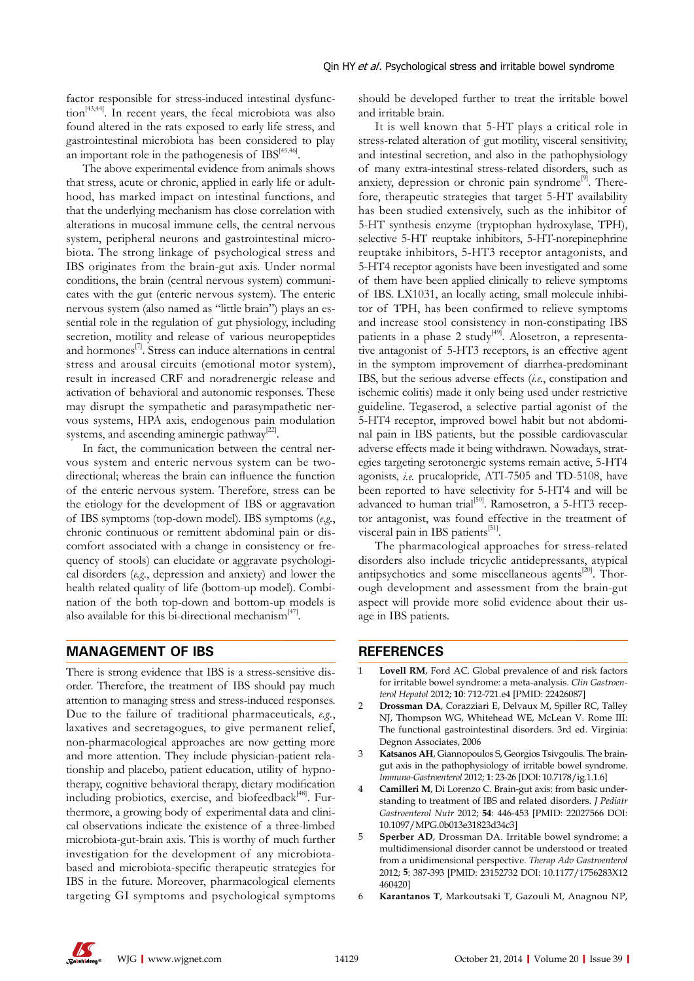factor responsible for stress-induced intestinal dysfunction[43,44]. In recent years, the fecal microbiota was also found altered in the rats exposed to early life stress, and gastrointestinal microbiota has been considered to play an important role in the pathogenesis of  $IBS^{[45,46]}$ .

The above experimental evidence from animals shows that stress, acute or chronic, applied in early life or adulthood, has marked impact on intestinal functions, and that the underlying mechanism has close correlation with alterations in mucosal immune cells, the central nervous system, peripheral neurons and gastrointestinal microbiota. The strong linkage of psychological stress and IBS originates from the brain-gut axis. Under normal conditions, the brain (central nervous system) communicates with the gut (enteric nervous system). The enteric nervous system (also named as "little brain") plays an essential role in the regulation of gut physiology, including secretion, motility and release of various neuropeptides and hormones $[7]$ . Stress can induce alternations in central stress and arousal circuits (emotional motor system), result in increased CRF and noradrenergic release and activation of behavioral and autonomic responses. These may disrupt the sympathetic and parasympathetic nervous systems, HPA axis, endogenous pain modulation systems, and ascending aminergic pathway<sup>[22]</sup>.

In fact, the communication between the central nervous system and enteric nervous system can be twodirectional; whereas the brain can influence the function of the enteric nervous system. Therefore, stress can be the etiology for the development of IBS or aggravation of IBS symptoms (top-down model). IBS symptoms (*e.g.*, chronic continuous or remittent abdominal pain or discomfort associated with a change in consistency or frequency of stools) can elucidate or aggravate psychological disorders (*e.g.*, depression and anxiety) and lower the health related quality of life (bottom-up model). Combination of the both top-down and bottom-up models is also available for this bi-directional mechanism $[47]$ .

### **Management of IBS**

There is strong evidence that IBS is a stress-sensitive disorder. Therefore, the treatment of IBS should pay much attention to managing stress and stress-induced responses. Due to the failure of traditional pharmaceuticals, *e.g.*, laxatives and secretagogues, to give permanent relief, non-pharmacological approaches are now getting more and more attention. They include physician-patient relationship and placebo, patient education, utility of hypnotherapy, cognitive behavioral therapy, dietary modification including probiotics, exercise, and biofeedback<sup>[48]</sup>. Furthermore, a growing body of experimental data and clinical observations indicate the existence of a three-limbed microbiota-gut-brain axis. This is worthy of much further investigation for the development of any microbiotabased and microbiota-specific therapeutic strategies for IBS in the future. Moreover, pharmacological elements targeting GI symptoms and psychological symptoms should be developed further to treat the irritable bowel and irritable brain.

It is well known that 5-HT plays a critical role in stress-related alteration of gut motility, visceral sensitivity, and intestinal secretion, and also in the pathophysiology of many extra-intestinal stress-related disorders, such as anxiety, depression or chronic pain syndrome<sup>[9]</sup>. Therefore, therapeutic strategies that target 5-HT availability has been studied extensively, such as the inhibitor of 5-HT synthesis enzyme (tryptophan hydroxylase, TPH), selective 5-HT reuptake inhibitors, 5-HT-norepinephrine reuptake inhibitors, 5-HT3 receptor antagonists, and 5-HT4 receptor agonists have been investigated and some of them have been applied clinically to relieve symptoms of IBS. LX1031, an locally acting, small molecule inhibitor of TPH, has been confirmed to relieve symptoms and increase stool consistency in non-constipating IBS patients in a phase 2 study<sup>[49]</sup>. Alosetron, a representative antagonist of 5-HT3 receptors, is an effective agent in the symptom improvement of diarrhea-predominant IBS, but the serious adverse effects (*i.e.*, constipation and ischemic colitis) made it only being used under restrictive guideline. Tegaserod, a selective partial agonist of the 5-HT4 receptor, improved bowel habit but not abdominal pain in IBS patients, but the possible cardiovascular adverse effects made it being withdrawn. Nowadays, strategies targeting serotonergic systems remain active, 5-HT4 agonists, *i.e.* prucalopride, ATI-7505 and TD-5108, have been reported to have selectivity for 5-HT4 and will be advanced to human trial<sup>[50]</sup>. Ramosetron, a 5-HT3 receptor antagonist, was found effective in the treatment of visceral pain in IBS patients<sup>[51]</sup>.

The pharmacological approaches for stress-related disorders also include tricyclic antidepressants, atypical antipsychotics and some miscellaneous agents<sup>[20]</sup>. Thorough development and assessment from the brain-gut aspect will provide more solid evidence about their usage in IBS patients.

#### **REFERENCES**

- 1 **Lovell RM**, Ford AC. Global prevalence of and risk factors for irritable bowel syndrome: a meta-analysis. *Clin Gastroenterol Hepatol* 2012; **10**: 712-721.e4 [PMID: 22426087]
- 2 **Drossman DA**, Corazziari E, Delvaux M, Spiller RC, Talley NJ, Thompson WG, Whitehead WE, McLean V. Rome III: The functional gastrointestinal disorders. 3rd ed. Virginia: Degnon Associates, 2006
- 3 **Katsanos AH**, Giannopoulos S, Georgios Tsivgoulis. The braingut axis in the pathophysiology of irritable bowel syndrome. *Immuno-Gastroenterol* 2012; **1**: 23-26 [DOI: 10.7178/ig.1.1.6]
- 4 **Camilleri M**, Di Lorenzo C. Brain-gut axis: from basic understanding to treatment of IBS and related disorders. *J Pediatr Gastroenterol Nutr* 2012; **54**: 446-453 [PMID: 22027566 DOI: 10.1097/MPG.0b013e31823d34c3]
- 5 **Sperber AD**, Drossman DA. Irritable bowel syndrome: a multidimensional disorder cannot be understood or treated from a unidimensional perspective. *Therap Adv Gastroenterol* 2012; **5**: 387-393 [PMID: 23152732 DOI: 10.1177/1756283X12 460420]
- 6 **Karantanos T**, Markoutsaki T, Gazouli M, Anagnou NP,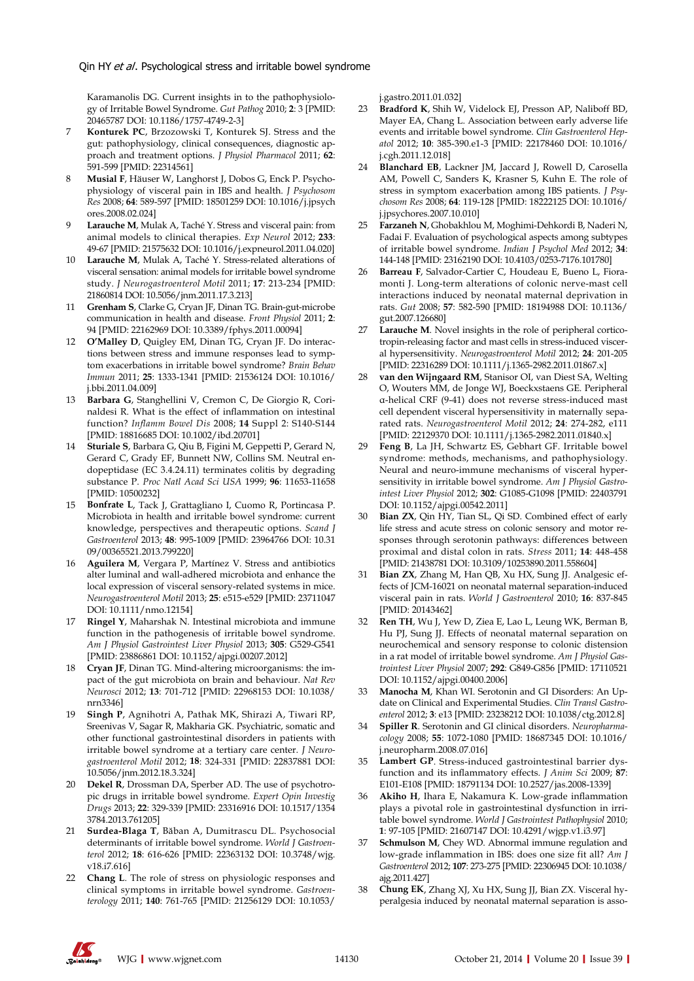Karamanolis DG. Current insights in to the pathophysiology of Irritable Bowel Syndrome. *Gut Pathog* 2010; **2**: 3 [PMID: 20465787 DOI: 10.1186/1757-4749-2-3]

- 7 **Konturek PC**, Brzozowski T, Konturek SJ. Stress and the gut: pathophysiology, clinical consequences, diagnostic approach and treatment options. *J Physiol Pharmacol* 2011; **62**: 591-599 [PMID: 22314561]
- 8 **Musial F**, Häuser W, Langhorst J, Dobos G, Enck P. Psychophysiology of visceral pain in IBS and health. *J Psychosom Res* 2008; **64**: 589-597 [PMID: 18501259 DOI: 10.1016/j.jpsych ores.2008.02.024]
- Larauche M, Mulak A, Taché Y. Stress and visceral pain: from animal models to clinical therapies. *Exp Neurol* 2012; **233**: 49-67 [PMID: 21575632 DOI: 10.1016/j.expneurol.2011.04.020]
- 10 **Larauche M**, Mulak A, Taché Y. Stress-related alterations of visceral sensation: animal models for irritable bowel syndrome study. *J Neurogastroenterol Motil* 2011; **17**: 213-234 [PMID: 21860814 DOI: 10.5056/jnm.2011.17.3.213]
- 11 **Grenham S**, Clarke G, Cryan JF, Dinan TG. Brain-gut-microbe communication in health and disease. *Front Physiol* 2011; **2**: 94 [PMID: 22162969 DOI: 10.3389/fphys.2011.00094]
- 12 **O'Malley D**, Quigley EM, Dinan TG, Cryan JF. Do interactions between stress and immune responses lead to symptom exacerbations in irritable bowel syndrome? *Brain Behav Immun* 2011; **25**: 1333-1341 [PMID: 21536124 DOI: 10.1016/ j.bbi.2011.04.009]
- 13 **Barbara G**, Stanghellini V, Cremon C, De Giorgio R, Corinaldesi R. What is the effect of inflammation on intestinal function? *Inflamm Bowel Dis* 2008; **14** Suppl 2: S140-S144 [PMID: 18816685 DOI: 10.1002/ibd.20701]
- 14 **Sturiale S**, Barbara G, Qiu B, Figini M, Geppetti P, Gerard N, Gerard C, Grady EF, Bunnett NW, Collins SM. Neutral endopeptidase (EC 3.4.24.11) terminates colitis by degrading substance P. *Proc Natl Acad Sci USA* 1999; **96**: 11653-11658 [PMID: 10500232]
- 15 **Bonfrate L**, Tack J, Grattagliano I, Cuomo R, Portincasa P. Microbiota in health and irritable bowel syndrome: current knowledge, perspectives and therapeutic options. *Scand J Gastroenterol* 2013; **48**: 995-1009 [PMID: 23964766 DOI: 10.31 09/00365521.2013.799220]
- 16 **Aguilera M**, Vergara P, Martínez V. Stress and antibiotics alter luminal and wall-adhered microbiota and enhance the local expression of visceral sensory-related systems in mice. *Neurogastroenterol Motil* 2013; **25**: e515-e529 [PMID: 23711047 DOI: 10.1111/nmo.12154]
- **Ringel Y**, Maharshak N. Intestinal microbiota and immune function in the pathogenesis of irritable bowel syndrome. *Am J Physiol Gastrointest Liver Physiol* 2013; **305**: G529-G541 [PMID: 23886861 DOI: 10.1152/ajpgi.00207.2012]
- 18 **Cryan JF**, Dinan TG. Mind-altering microorganisms: the impact of the gut microbiota on brain and behaviour. *Nat Rev Neurosci* 2012; **13**: 701-712 [PMID: 22968153 DOI: 10.1038/ nrn3346]
- 19 **Singh P**, Agnihotri A, Pathak MK, Shirazi A, Tiwari RP, Sreenivas V, Sagar R, Makharia GK. Psychiatric, somatic and other functional gastrointestinal disorders in patients with irritable bowel syndrome at a tertiary care center. *J Neurogastroenterol Motil* 2012; **18**: 324-331 [PMID: 22837881 DOI: 10.5056/jnm.2012.18.3.324]
- 20 **Dekel R**, Drossman DA, Sperber AD. The use of psychotropic drugs in irritable bowel syndrome. *Expert Opin Investig Drugs* 2013; **22**: 329-339 [PMID: 23316916 DOI: 10.1517/1354 3784.2013.761205]
- 21 **Surdea-Blaga T**, Băban A, Dumitrascu DL. Psychosocial determinants of irritable bowel syndrome. *World J Gastroenterol* 2012; **18**: 616-626 [PMID: 22363132 DOI: 10.3748/wjg. v18.i7.616]
- 22 **Chang L**. The role of stress on physiologic responses and clinical symptoms in irritable bowel syndrome. *Gastroenterology* 2011; **140**: 761-765 [PMID: 21256129 DOI: 10.1053/

j.gastro.2011.01.032]

- 23 **Bradford K**, Shih W, Videlock EJ, Presson AP, Naliboff BD, Mayer EA, Chang L. Association between early adverse life events and irritable bowel syndrome. *Clin Gastroenterol Hepatol* 2012; **10**: 385-390.e1-3 [PMID: 22178460 DOI: 10.1016/ j.cgh.2011.12.018]
- 24 **Blanchard EB**, Lackner JM, Jaccard J, Rowell D, Carosella AM, Powell C, Sanders K, Krasner S, Kuhn E. The role of stress in symptom exacerbation among IBS patients. *J Psychosom Res* 2008; **64**: 119-128 [PMID: 18222125 DOI: 10.1016/ j.jpsychores.2007.10.010]
- 25 **Farzaneh N**, Ghobakhlou M, Moghimi-Dehkordi B, Naderi N, Fadai F. Evaluation of psychological aspects among subtypes of irritable bowel syndrome. *Indian J Psychol Med* 2012; **34**: 144-148 [PMID: 23162190 DOI: 10.4103/0253-7176.101780]
- 26 **Barreau F**, Salvador-Cartier C, Houdeau E, Bueno L, Fioramonti J. Long-term alterations of colonic nerve-mast cell interactions induced by neonatal maternal deprivation in rats. *Gut* 2008; **57**: 582-590 [PMID: 18194988 DOI: 10.1136/ gut.2007.126680]
- Larauche M. Novel insights in the role of peripheral corticotropin-releasing factor and mast cells in stress-induced visceral hypersensitivity. *Neurogastroenterol Motil* 2012; **24**: 201-205 [PMID: 22316289 DOI: 10.1111/j.1365-2982.2011.01867.x]
- 28 **van den Wijngaard RM**, Stanisor OI, van Diest SA, Welting O, Wouters MM, de Jonge WJ, Boeckxstaens GE. Peripheral α-helical CRF (9-41) does not reverse stress-induced mast cell dependent visceral hypersensitivity in maternally separated rats. *Neurogastroenterol Motil* 2012; **24**: 274-282, e111 [PMID: 22129370 DOI: 10.1111/j.1365-2982.2011.01840.x]
- 29 **Feng B**, La JH, Schwartz ES, Gebhart GF. Irritable bowel syndrome: methods, mechanisms, and pathophysiology. Neural and neuro-immune mechanisms of visceral hypersensitivity in irritable bowel syndrome. *Am J Physiol Gastrointest Liver Physiol* 2012; **302**: G1085-G1098 [PMID: 22403791 DOI: 10.1152/ajpgi.00542.2011]
- Bian ZX, Qin HY, Tian SL, Qi SD. Combined effect of early life stress and acute stress on colonic sensory and motor responses through serotonin pathways: differences between proximal and distal colon in rats. *Stress* 2011; **14**: 448-458 [PMID: 21438781 DOI: 10.3109/10253890.2011.558604]
- 31 **Bian ZX**, Zhang M, Han QB, Xu HX, Sung JJ. Analgesic effects of JCM-16021 on neonatal maternal separation-induced visceral pain in rats. *World J Gastroenterol* 2010; **16**: 837-845 [PMID: 20143462]
- 32 **Ren TH**, Wu J, Yew D, Ziea E, Lao L, Leung WK, Berman B, Hu PJ, Sung JJ. Effects of neonatal maternal separation on neurochemical and sensory response to colonic distension in a rat model of irritable bowel syndrome. *Am J Physiol Gastrointest Liver Physiol* 2007; **292**: G849-G856 [PMID: 17110521 DOI: 10.1152/ajpgi.00400.2006]
- 33 **Manocha M**, Khan WI. Serotonin and GI Disorders: An Update on Clinical and Experimental Studies. *Clin Transl Gastroenterol* 2012; **3**: e13 [PMID: 23238212 DOI: 10.1038/ctg.2012.8]
- 34 **Spiller R**. Serotonin and GI clinical disorders. *Neuropharmacology* 2008; **55**: 1072-1080 [PMID: 18687345 DOI: 10.1016/ j.neuropharm.2008.07.016]
- 35 **Lambert GP**. Stress-induced gastrointestinal barrier dysfunction and its inflammatory effects. *J Anim Sci* 2009; **87**: E101-E108 [PMID: 18791134 DOI: 10.2527/jas.2008-1339]
- 36 **Akiho H**, Ihara E, Nakamura K. Low-grade inflammation plays a pivotal role in gastrointestinal dysfunction in irritable bowel syndrome. *World J Gastrointest Pathophysiol* 2010; **1**: 97-105 [PMID: 21607147 DOI: 10.4291/wjgp.v1.i3.97]
- **Schmulson M**, Chey WD. Abnormal immune regulation and low-grade inflammation in IBS: does one size fit all? *Am J Gastroenterol* 2012; **107**: 273-275 [PMID: 22306945 DOI: 10.1038/ ajg.2011.427]
- 38 **Chung EK**, Zhang XJ, Xu HX, Sung JJ, Bian ZX. Visceral hyperalgesia induced by neonatal maternal separation is asso-